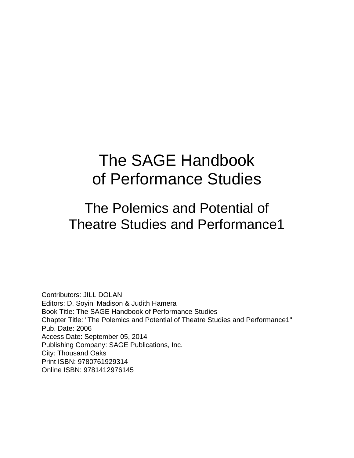## The SAGE Handbook of Performance Studies

#### The Polemics and Potential of Theatre Studies and Performance1

Contributors: JILL DOLAN Editors: D. Soyini Madison & Judith Hamera Book Title: The SAGE Handbook of Performance Studies Chapter Title: "The Polemics and Potential of Theatre Studies and Performance1" Pub. Date: 2006 Access Date: September 05, 2014 Publishing Company: SAGE Publications, Inc. City: Thousand Oaks Print ISBN: 9780761929314 Online ISBN: 9781412976145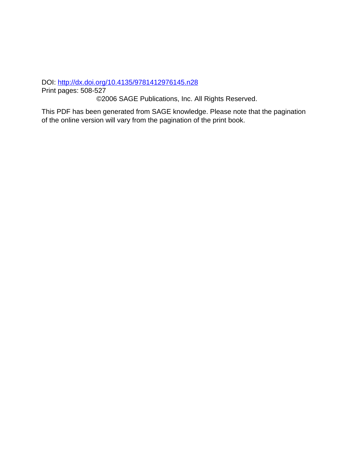DOI:<http://dx.doi.org/10.4135/9781412976145.n28>

Print pages: 508-527

©2006 SAGE Publications, Inc. All Rights Reserved.

This PDF has been generated from SAGE knowledge. Please note that the pagination of the online version will vary from the pagination of the print book.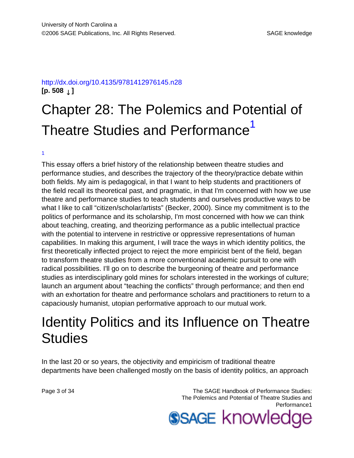#### <http://dx.doi.org/10.4135/9781412976145.n28>

 $[p. 508 \downarrow]$ 

# Chapter 28: The Polemics and Potential of Theatre Studies and Performance<sup>[1](http://knowledge.sagepub.com/view/hdbk_performance/fn1n28.xml)</sup>

#### [1](http://knowledge.sagepub.com/view/hdbk_performance/fn1n28.xml)

This essay offers a brief history of the relationship between theatre studies and performance studies, and describes the trajectory of the theory/practice debate within both fields. My aim is pedagogical, in that I want to help students and practitioners of the field recall its theoretical past, and pragmatic, in that I'm concerned with how we use theatre and performance studies to teach students and ourselves productive ways to be what I like to call "citizen/scholar/artists" (Becker, 2000). Since my commitment is to the politics of performance and its scholarship, I'm most concerned with how we can think about teaching, creating, and theorizing performance as a public intellectual practice with the potential to intervene in restrictive or oppressive representations of human capabilities. In making this argument, I will trace the ways in which identity politics, the first theoretically inflected project to reject the more empiricist bent of the field, began to transform theatre studies from a more conventional academic pursuit to one with radical possibilities. I'll go on to describe the burgeoning of theatre and performance studies as interdisciplinary gold mines for scholars interested in the workings of culture; launch an argument about "teaching the conflicts" through performance; and then end with an exhortation for theatre and performance scholars and practitioners to return to a capaciously humanist, utopian performative approach to our mutual work.

#### Identity Politics and its Influence on Theatre **Studies**

In the last 20 or so years, the objectivity and empiricism of traditional theatre departments have been challenged mostly on the basis of identity politics, an approach

Page 3 of 34 The SAGE Handbook of Performance Studies: The Polemics and Potential of Theatre Studies and Performance1

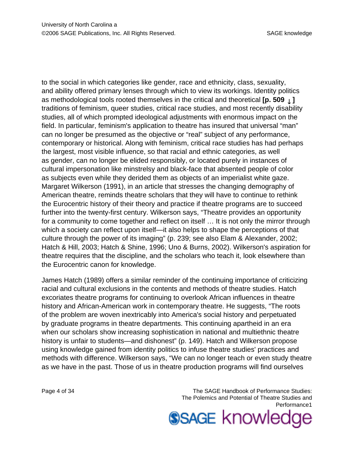to the social in which categories like gender, race and ethnicity, class, sexuality, and ability offered primary lenses through which to view its workings. Identity politics as methodological tools rooted themselves in the critical and theoretical **[p. 509** ↓ **]** traditions of feminism, queer studies, critical race studies, and most recently disability studies, all of which prompted ideological adjustments with enormous impact on the field. In particular, feminism's application to theatre has insured that universal "man" can no longer be presumed as the objective or "real" subject of any performance, contemporary or historical. Along with feminism, critical race studies has had perhaps the largest, most visible influence, so that racial and ethnic categories, as well as gender, can no longer be elided responsibly, or located purely in instances of cultural impersonation like minstrelsy and black-face that absented people of color as subjects even while they derided them as objects of an imperialist white gaze. Margaret Wilkerson (1991), in an article that stresses the changing demography of American theatre, reminds theatre scholars that they will have to continue to rethink the Eurocentric history of their theory and practice if theatre programs are to succeed further into the twenty-first century. Wilkerson says, "Theatre provides an opportunity for a community to come together and reflect on itself … It is not only the mirror through which a society can reflect upon itself—it also helps to shape the perceptions of that culture through the power of its imaging" (p. 239; see also Elam & Alexander, 2002; Hatch & Hill, 2003; Hatch & Shine, 1996; Uno & Burns, 2002). Wilkerson's aspiration for theatre requires that the discipline, and the scholars who teach it, look elsewhere than the Eurocentric canon for knowledge.

James Hatch (1989) offers a similar reminder of the continuing importance of criticizing racial and cultural exclusions in the contents and methods of theatre studies. Hatch excoriates theatre programs for continuing to overlook African influences in theatre history and African-American work in contemporary theatre. He suggests, "The roots of the problem are woven inextricably into America's social history and perpetuated by graduate programs in theatre departments. This continuing apartheid in an era when our scholars show increasing sophistication in national and multiethnic theatre history is unfair to students—and dishonest" (p. 149). Hatch and Wilkerson propose using knowledge gained from identity politics to infuse theatre studies' practices and methods with difference. Wilkerson says, "We can no longer teach or even study theatre as we have in the past. Those of us in theatre production programs will find ourselves

Page 4 of 34 The SAGE Handbook of Performance Studies: The Polemics and Potential of Theatre Studies and Performance1

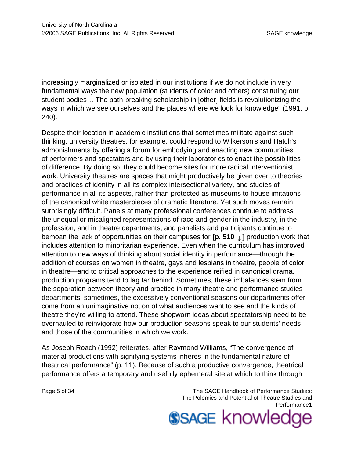increasingly marginalized or isolated in our institutions if we do not include in very fundamental ways the new population (students of color and others) constituting our student bodies… The path-breaking scholarship in [other] fields is revolutionizing the ways in which we see ourselves and the places where we look for knowledge" (1991, p. 240).

Despite their location in academic institutions that sometimes militate against such thinking, university theatres, for example, could respond to Wilkerson's and Hatch's admonishments by offering a forum for embodying and enacting new communities of performers and spectators and by using their laboratories to enact the possibilities of difference. By doing so, they could become sites for more radical interventionist work. University theatres are spaces that might productively be given over to theories and practices of identity in all its complex intersectional variety, and studies of performance in all its aspects, rather than protected as museums to house imitations of the canonical white masterpieces of dramatic literature. Yet such moves remain surprisingly difficult. Panels at many professional conferences continue to address the unequal or misaligned representations of race and gender in the industry, in the profession, and in theatre departments, and panelists and participants continue to bemoan the lack of opportunities on their campuses for **[p. 510** ↓ **]** production work that includes attention to minoritarian experience. Even when the curriculum has improved attention to new ways of thinking about social identity in performance—through the addition of courses on women in theatre, gays and lesbians in theatre, people of color in theatre—and to critical approaches to the experience reified in canonical drama, production programs tend to lag far behind. Sometimes, these imbalances stem from the separation between theory and practice in many theatre and performance studies departments; sometimes, the excessively conventional seasons our departments offer come from an unimaginative notion of what audiences want to see and the kinds of theatre they're willing to attend. These shopworn ideas about spectatorship need to be overhauled to reinvigorate how our production seasons speak to our students' needs and those of the communities in which we work.

As Joseph Roach (1992) reiterates, after Raymond Williams, "The convergence of material productions with signifying systems inheres in the fundamental nature of theatrical performance" (p. 11). Because of such a productive convergence, theatrical performance offers a temporary and usefully ephemeral site at which to think through

Page 5 of 34 The SAGE Handbook of Performance Studies: The Polemics and Potential of Theatre Studies and Performance1

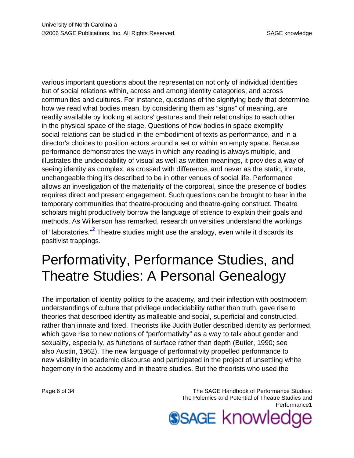various important questions about the representation not only of individual identities but of social relations within, across and among identity categories, and across communities and cultures. For instance, questions of the signifying body that determine how we read what bodies mean, by considering them as "signs" of meaning, are readily available by looking at actors' gestures and their relationships to each other in the physical space of the stage. Questions of how bodies in space exemplify social relations can be studied in the embodiment of texts as performance, and in a director's choices to position actors around a set or within an empty space. Because performance demonstrates the ways in which any reading is always multiple, and illustrates the undecidability of visual as well as written meanings, it provides a way of seeing identity as complex, as crossed with difference, and never as the static, innate, unchangeable thing it's described to be in other venues of social life. Performance allows an investigation of the materiality of the corporeal, since the presence of bodies requires direct and present engagement. Such questions can be brought to bear in the temporary communities that theatre-producing and theatre-going construct. Theatre scholars might productively borrow the language of science to explain their goals and methods. As Wilkerson has remarked, research universities understand the workings

of "laboratories."<sup>[2](http://knowledge.sagepub.com/view/hdbk_performance/fn2n28.xml)</sup> Theatre studies might use the analogy, even while it discards its positivist trappings.

### Performativity, Performance Studies, and Theatre Studies: A Personal Genealogy

The importation of identity politics to the academy, and their inflection with postmodern understandings of culture that privilege undecidability rather than truth, gave rise to theories that described identity as malleable and social, superficial and constructed, rather than innate and fixed. Theorists like Judith Butler described identity as performed, which gave rise to new notions of "performativity" as a way to talk about gender and sexuality, especially, as functions of surface rather than depth (Butler, 1990; see also Austin, 1962). The new language of performativity propelled performance to new visibility in academic discourse and participated in the project of unsettling white hegemony in the academy and in theatre studies. But the theorists who used the

Page 6 of 34 The SAGE Handbook of Performance Studies: The Polemics and Potential of Theatre Studies and Performance1

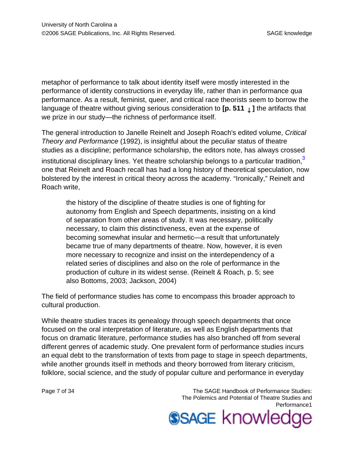metaphor of performance to talk about identity itself were mostly interested in the performance of identity constructions in everyday life, rather than in performance qua performance. As a result, feminist, queer, and critical race theorists seem to borrow the language of theatre without giving serious consideration to **[p. 511** ↓ **]** the artifacts that we prize in our study—the richness of performance itself.

The general introduction to Janelle Reinelt and Joseph Roach's edited volume, Critical Theory and Performance (1992), is insightful about the peculiar status of theatre studies as a discipline; performance scholarship, the editors note, has always crossed institutional disciplinary lines. Yet theatre scholarship belongs to a particular tradition.<sup>[3](http://knowledge.sagepub.com/view/hdbk_performance/fn3n28.xml)</sup> one that Reinelt and Roach recall has had a long history of theoretical speculation, now bolstered by the interest in critical theory across the academy. "Ironically," Reinelt and Roach write,

the history of the discipline of theatre studies is one of fighting for autonomy from English and Speech departments, insisting on a kind of separation from other areas of study. It was necessary, politically necessary, to claim this distinctiveness, even at the expense of becoming somewhat insular and hermetic—a result that unfortunately became true of many departments of theatre. Now, however, it is even more necessary to recognize and insist on the interdependency of a related series of disciplines and also on the role of performance in the production of culture in its widest sense. (Reinelt & Roach, p. 5; see also Bottoms, 2003; Jackson, 2004)

The field of performance studies has come to encompass this broader approach to cultural production.

While theatre studies traces its genealogy through speech departments that once focused on the oral interpretation of literature, as well as English departments that focus on dramatic literature, performance studies has also branched off from several different genres of academic study. One prevalent form of performance studies incurs an equal debt to the transformation of texts from page to stage in speech departments, while another grounds itself in methods and theory borrowed from literary criticism, folklore, social science, and the study of popular culture and performance in everyday

Page 7 of 34 The SAGE Handbook of Performance Studies: The Polemics and Potential of Theatre Studies and Performance1

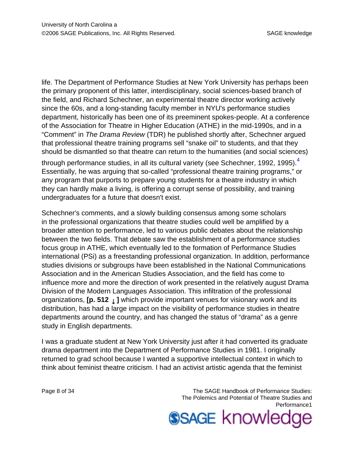life. The Department of Performance Studies at New York University has perhaps been the primary proponent of this latter, interdisciplinary, social sciences-based branch of the field, and Richard Schechner, an experimental theatre director working actively since the 60s, and a long-standing faculty member in NYU's performance studies department, historically has been one of its preeminent spokes-people. At a conference of the Association for Theatre in Higher Education (ATHE) in the mid-1990s, and in a "Comment" in The Drama Review (TDR) he published shortly after, Schechner argued that professional theatre training programs sell "snake oil" to students, and that they should be dismantled so that theatre can return to the humanities (and social sciences)

through performance studies, in all its cultural variety (see Schechner, 1992, 1995).<sup>[4](http://knowledge.sagepub.com/view/hdbk_performance/fn4n28.xml)</sup> Essentially, he was arguing that so-called "professional theatre training programs," or any program that purports to prepare young students for a theatre industry in which they can hardly make a living, is offering a corrupt sense of possibility, and training undergraduates for a future that doesn't exist.

Schechner's comments, and a slowly building consensus among some scholars in the professional organizations that theatre studies could well be amplified by a broader attention to performance, led to various public debates about the relationship between the two fields. That debate saw the establishment of a performance studies focus group in ATHE, which eventually led to the formation of Performance Studies international (PSi) as a freestanding professional organization. In addition, performance studies divisions or subgroups have been established in the National Communications Association and in the American Studies Association, and the field has come to influence more and more the direction of work presented in the relatively august Drama Division of the Modern Languages Association. This infiltration of the professional organizations, **[p. 512** ↓ **]** which provide important venues for visionary work and its distribution, has had a large impact on the visibility of performance studies in theatre departments around the country, and has changed the status of "drama" as a genre study in English departments.

I was a graduate student at New York University just after it had converted its graduate drama department into the Department of Performance Studies in 1981. I originally returned to grad school because I wanted a supportive intellectual context in which to think about feminist theatre criticism. I had an activist artistic agenda that the feminist

Page 8 of 34 The SAGE Handbook of Performance Studies: The Polemics and Potential of Theatre Studies and Performance1

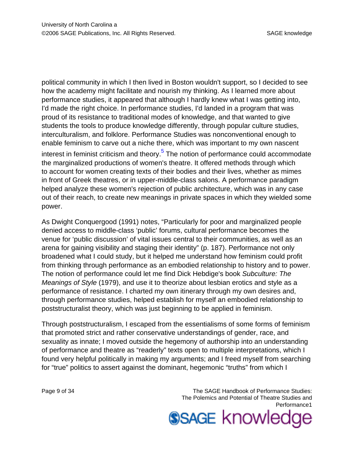political community in which I then lived in Boston wouldn't support, so I decided to see how the academy might facilitate and nourish my thinking. As I learned more about performance studies, it appeared that although I hardly knew what I was getting into, I'd made the right choice. In performance studies, I'd landed in a program that was proud of its resistance to traditional modes of knowledge, and that wanted to give students the tools to produce knowledge differently, through popular culture studies, interculturalism, and folklore. Performance Studies was nonconventional enough to enable feminism to carve out a niche there, which was important to my own nascent interest in feminist criticism and theory.<sup>[5](http://knowledge.sagepub.com/view/hdbk_performance/fn5n28.xml)</sup> The notion of performance could accommodate the marginalized productions of women's theatre. It offered methods through which to account for women creating texts of their bodies and their lives, whether as mimes in front of Greek theatres, or in upper-middle-class salons. A performance paradigm helped analyze these women's rejection of public architecture, which was in any case out of their reach, to create new meanings in private spaces in which they wielded some power.

As Dwight Conquergood (1991) notes, "Particularly for poor and marginalized people denied access to middle-class 'public' forums, cultural performance becomes the venue for 'public discussion' of vital issues central to their communities, as well as an arena for gaining visibility and staging their identity" (p. 187). Performance not only broadened what I could study, but it helped me understand how feminism could profit from thinking through performance as an embodied relationship to history and to power. The notion of performance could let me find Dick Hebdige's book Subculture: The Meanings of Style (1979), and use it to theorize about lesbian erotics and style as a performance of resistance. I charted my own itinerary through my own desires and, through performance studies, helped establish for myself an embodied relationship to poststructuralist theory, which was just beginning to be applied in feminism.

Through poststructuralism, I escaped from the essentialisms of some forms of feminism that promoted strict and rather conservative understandings of gender, race, and sexuality as innate; I moved outside the hegemony of authorship into an understanding of performance and theatre as "readerly" texts open to multiple interpretations, which I found very helpful politically in making my arguments; and I freed myself from searching for "true" politics to assert against the dominant, hegemonic "truths" from which I

Page 9 of 34 The SAGE Handbook of Performance Studies: The Polemics and Potential of Theatre Studies and Performance1

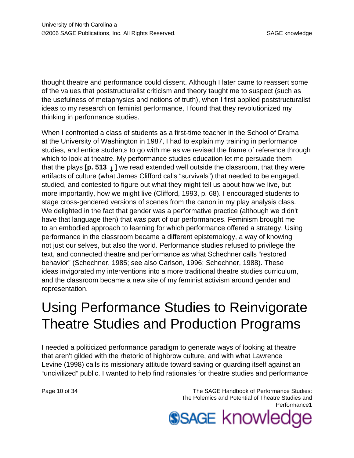thought theatre and performance could dissent. Although I later came to reassert some of the values that poststructuralist criticism and theory taught me to suspect (such as the usefulness of metaphysics and notions of truth), when I first applied poststructuralist ideas to my research on feminist performance, I found that they revolutionized my thinking in performance studies.

When I confronted a class of students as a first-time teacher in the School of Drama at the University of Washington in 1987, I had to explain my training in performance studies, and entice students to go with me as we revised the frame of reference through which to look at theatre. My performance studies education let me persuade them that the plays **[p. 513** ↓ **]** we read extended well outside the classroom, that they were artifacts of culture (what James Clifford calls "survivals") that needed to be engaged, studied, and contested to figure out what they might tell us about how we live, but more importantly, how we might live (Clifford, 1993, p. 68). I encouraged students to stage cross-gendered versions of scenes from the canon in my play analysis class. We delighted in the fact that gender was a performative practice (although we didn't have that language then) that was part of our performances. Feminism brought me to an embodied approach to learning for which performance offered a strategy. Using performance in the classroom became a different epistemology, a way of knowing not just our selves, but also the world. Performance studies refused to privilege the text, and connected theatre and performance as what Schechner calls "restored behavior" (Schechner, 1985; see also Carlson, 1996; Schechner, 1988). These ideas invigorated my interventions into a more traditional theatre studies curriculum, and the classroom became a new site of my feminist activism around gender and representation.

### Using Performance Studies to Reinvigorate Theatre Studies and Production Programs

I needed a politicized performance paradigm to generate ways of looking at theatre that aren't gilded with the rhetoric of highbrow culture, and with what Lawrence Levine (1998) calls its missionary attitude toward saving or guarding itself against an "uncivilized" public. I wanted to help find rationales for theatre studies and performance

Page 10 of 34 The SAGE Handbook of Performance Studies: The Polemics and Potential of Theatre Studies and Performance1

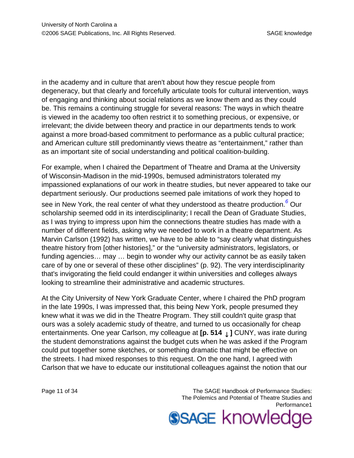in the academy and in culture that aren't about how they rescue people from degeneracy, but that clearly and forcefully articulate tools for cultural intervention, ways of engaging and thinking about social relations as we know them and as they could be. This remains a continuing struggle for several reasons: The ways in which theatre is viewed in the academy too often restrict it to something precious, or expensive, or irrelevant; the divide between theory and practice in our departments tends to work against a more broad-based commitment to performance as a public cultural practice; and American culture still predominantly views theatre as "entertainment," rather than as an important site of social understanding and political coalition-building.

For example, when I chaired the Department of Theatre and Drama at the University of Wisconsin-Madison in the mid-1990s, bemused administrators tolerated my impassioned explanations of our work in theatre studies, but never appeared to take our department seriously. Our productions seemed pale imitations of work they hoped to

see in New York, the real center of what they understood as theatre production.  $^6$  $^6$  Our scholarship seemed odd in its interdisciplinarity; I recall the Dean of Graduate Studies, as I was trying to impress upon him the connections theatre studies has made with a number of different fields, asking why we needed to work in a theatre department. As Marvin Carlson (1992) has written, we have to be able to "say clearly what distinguishes theatre history from [other histories]," or the "university administrators, legislators, or funding agencies… may … begin to wonder why our activity cannot be as easily taken care of by one or several of these other disciplines" (p. 92). The very interdisciplinarity that's invigorating the field could endanger it within universities and colleges always looking to streamline their administrative and academic structures.

At the City University of New York Graduate Center, where I chaired the PhD program in the late 1990s, I was impressed that, this being New York, people presumed they knew what it was we did in the Theatre Program. They still couldn't quite grasp that ours was a solely academic study of theatre, and turned to us occasionally for cheap entertainments. One year Carlson, my colleague at **[p. 514** ↓ **]** CUNY, was irate during the student demonstrations against the budget cuts when he was asked if the Program could put together some sketches, or something dramatic that might be effective on the streets. I had mixed responses to this request. On the one hand, I agreed with Carlson that we have to educate our institutional colleagues against the notion that our

Page 11 of 34 The SAGE Handbook of Performance Studies: The Polemics and Potential of Theatre Studies and Performance1

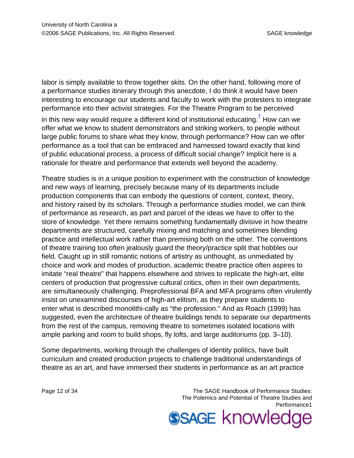labor is simply available to throw together skits. On the other hand, following more of a performance studies itinerary through this anecdote, I do think it would have been interesting to encourage our students and faculty to work with the protesters to integrate performance into their activist strategies. For the Theatre Program to be perceived

in this new way would require a different kind of institutional educating.<sup>[7](http://knowledge.sagepub.com/view/hdbk_performance/fn7n28.xml)</sup> How can we offer what we know to student demonstrators and striking workers, to people without large public forums to share what they know, through performance? How can we offer performance as a tool that can be embraced and harnessed toward exactly that kind of public educational process, a process of difficult social change? Implicit here is a rationale for theatre and performance that extends well beyond the academy.

Theatre studies is in a unique position to experiment with the construction of knowledge and new ways of learning, precisely because many of its departments include production components that can embody the questions of content, context, theory, and history raised by its scholars. Through a performance studies model, we can think of performance as research, as part and parcel of the ideas we have to offer to the store of knowledge. Yet there remains something fundamentally divisive in how theatre departments are structured, carefully mixing and matching and sometimes blending practice and intellectual work rather than premising both on the other. The conventions of theatre training too often jealously guard the theory/practice split that hobbles our field. Caught up in still romantic notions of artistry as unthought, as unmediated by choice and work and modes of production, academic theatre practice often aspires to imitate "real theatre" that happens elsewhere and strives to replicate the high-art, elite centers of production that progressive cultural critics, often in their own departments, are simultaneously challenging. Preprofessional BFA and MFA programs often virulently insist on unexamined discourses of high-art elitism, as they prepare students to enter what is described monolithi-cally as "the profession." And as Roach (1999) has suggested, even the architecture of theatre buildings tends to separate our departments from the rest of the campus, removing theatre to sometimes isolated locations with ample parking and room to build shops, fly lofts, and large auditoriums (pp. 3–10).

Some departments, working through the challenges of identity politics, have built curriculum and created production projects to challenge traditional understandings of theatre as an art, and have immersed their students in performance as an art practice

Page 12 of 34 The SAGE Handbook of Performance Studies: The Polemics and Potential of Theatre Studies and Performance1

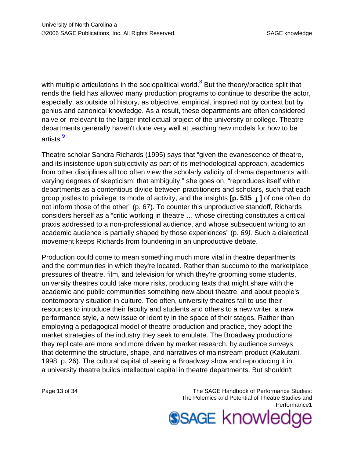with multiple articulations in the sociopolitical world.<sup>[8](http://knowledge.sagepub.com/view/hdbk_performance/fn8n28.xml)</sup> But the theory/practice split that rends the field has allowed many production programs to continue to describe the actor, especially, as outside of history, as objective, empirical, inspired not by context but by genius and canonical knowledge. As a result, these departments are often considered naive or irrelevant to the larger intellectual project of the university or college. Theatre departments generally haven't done very well at teaching new models for how to be artists<sup>[9](http://knowledge.sagepub.com/view/hdbk_performance/fn9n28.xml)</sup>

Theatre scholar Sandra Richards (1995) says that "given the evanescence of theatre, and its insistence upon subjectivity as part of its methodological approach, academics from other disciplines all too often view the scholarly validity of drama departments with varying degrees of skepticism; that ambiguity," she goes on, "reproduces itself within departments as a contentious divide between practitioners and scholars, such that each group jostles to privilege its mode of activity, and the insights **[p. 515** ↓ **]** of one often do not inform those of the other" (p. 67). To counter this unproductive standoff, Richards considers herself as a "critic working in theatre … whose directing constitutes a critical praxis addressed to a non-professional audience, and whose subsequent writing to an academic audience is partially shaped by those experiences" (p. 69). Such a dialectical movement keeps Richards from foundering in an unproductive debate.

Production could come to mean something much more vital in theatre departments and the communities in which they're located. Rather than succumb to the marketplace pressures of theatre, film, and television for which they're grooming some students, university theatres could take more risks, producing texts that might share with the academic and public communities something new about theatre, and about people's contemporary situation in culture. Too often, university theatres fail to use their resources to introduce their faculty and students and others to a new writer, a new performance style, a new issue or identity in the space of their stages. Rather than employing a pedagogical model of theatre production and practice, they adopt the market strategies of the industry they seek to emulate. The Broadway productions they replicate are more and more driven by market research, by audience surveys that determine the structure, shape, and narratives of mainstream product (Kakutani, 1998, p. 26). The cultural capital of seeing a Broadway show and reproducing it in a university theatre builds intellectual capital in theatre departments. But shouldn't

Page 13 of 34 The SAGE Handbook of Performance Studies: The Polemics and Potential of Theatre Studies and Performance1

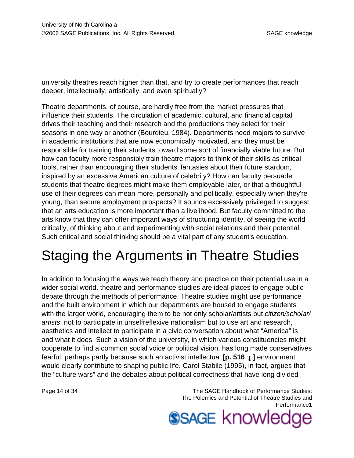university theatres reach higher than that, and try to create performances that reach deeper, intellectually, artistically, and even spiritually?

Theatre departments, of course, are hardly free from the market pressures that influence their students. The circulation of academic, cultural, and financial capital drives their teaching and their research and the productions they select for their seasons in one way or another (Bourdieu, 1984). Departments need majors to survive in academic institutions that are now economically motivated, and they must be responsible for training their students toward some sort of financially viable future. But how can faculty more responsibly train theatre majors to think of their skills as critical tools, rather than encouraging their students' fantasies about their future stardom, inspired by an excessive American culture of celebrity? How can faculty persuade students that theatre degrees might make them employable later, or that a thoughtful use of their degrees can mean more, personally and politically, especially when they're young, than secure employment prospects? It sounds excessively privileged to suggest that an arts education is more important than a livelihood. But faculty committed to the arts know that they can offer important ways of structuring identity, of seeing the world critically, of thinking about and experimenting with social relations and their potential. Such critical and social thinking should be a vital part of any student's education.

## Staging the Arguments in Theatre Studies

In addition to focusing the ways we teach theory and practice on their potential use in a wider social world, theatre and performance studies are ideal places to engage public debate through the methods of performance. Theatre studies might use performance and the built environment in which our departments are housed to engage students with the larger world, encouraging them to be not only scholar/artists but *citizen/scholar/* artists, not to participate in unselfreflexive nationalism but to use art and research, aesthetics and intellect to participate in a civic conversation about what "America" is and what it does. Such a vision of the university, in which various constituencies might cooperate to find a common social voice or political vision, has long made conservatives fearful, perhaps partly because such an activist intellectual **[p. 516**  $\parallel$ ] environment would clearly contribute to shaping public life. Carol Stabile (1995), in fact, argues that the "culture wars" and the debates about political correctness that have long divided

Page 14 of 34 The SAGE Handbook of Performance Studies: The Polemics and Potential of Theatre Studies and Performance1

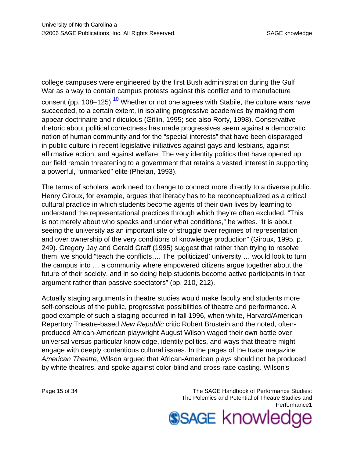college campuses were engineered by the first Bush administration during the Gulf War as a way to contain campus protests against this conflict and to manufacture consent (pp.  $108-125$  $108-125$ ).<sup>10</sup> Whether or not one agrees with Stabile, the culture wars have succeeded, to a certain extent, in isolating progressive academics by making them appear doctrinaire and ridiculous (Gitlin, 1995; see also Rorty, 1998). Conservative rhetoric about political correctness has made progressives seem against a democratic notion of human community and for the "special interests" that have been disparaged in public culture in recent legislative initiatives against gays and lesbians, against affirmative action, and against welfare. The very identity politics that have opened up our field remain threatening to a government that retains a vested interest in supporting a powerful, "unmarked" elite (Phelan, 1993).

The terms of scholars' work need to change to connect more directly to a diverse public. Henry Giroux, for example, argues that literacy has to be reconceptualized as a critical cultural practice in which students become agents of their own lives by learning to understand the representational practices through which they're often excluded. "This is not merely about who speaks and under what conditions," he writes. "It is about seeing the university as an important site of struggle over regimes of representation and over ownership of the very conditions of knowledge production" (Giroux, 1995, p. 249). Gregory Jay and Gerald Graff (1995) suggest that rather than trying to resolve them, we should "teach the conflicts…. The 'politicized' university … would look to turn the campus into … a community where empowered citizens argue together about the future of their society, and in so doing help students become active participants in that argument rather than passive spectators" (pp. 210, 212).

Actually staging arguments in theatre studies would make faculty and students more self-conscious of the public, progressive possibilities of theatre and performance. A good example of such a staging occurred in fall 1996, when white, Harvard/American Repertory Theatre-based New Republic critic Robert Brustein and the noted, oftenproduced African-American playwright August Wilson waged their own battle over universal versus particular knowledge, identity politics, and ways that theatre might engage with deeply contentious cultural issues. In the pages of the trade magazine American Theatre, Wilson argued that African-American plays should not be produced by white theatres, and spoke against color-blind and cross-race casting. Wilson's

Page 15 of 34 The SAGE Handbook of Performance Studies: The Polemics and Potential of Theatre Studies and Performance1

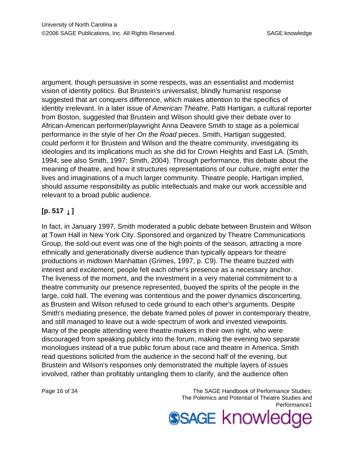argument, though persuasive in some respects, was an essentialist and modernist vision of identity politics. But Brustein's universalist, blindly humanist response suggested that art conquers difference, which makes attention to the specifics of identity irrelevant. In a later issue of American Theatre, Patti Hartigan, a cultural reporter from Boston, suggested that Brustein and Wilson should give their debate over to African-American performer/playwright Anna Deavere Smith to stage as a polemical performance in the style of her On the Road pieces. Smith, Hartigan suggested, could perform it for Brustein and Wilson and the theatre community, investigating its ideologies and its implications much as she did for Crown Heights and East LA. (Smith, 1994; see also Smith, 1997; Smith, 2004). Through performance, this debate about the meaning of theatre, and how it structures representations of our culture, might enter the lives and imaginations of a much larger community. Theatre people, Hartigan implied, should assume responsibility as public intellectuals and make our work accessible and relevant to a broad public audience.

#### **[p. 517** ↓ **]**

In fact, in January 1997, Smith moderated a public debate between Brustein and Wilson at Town Hall in New York City. Sponsored and organized by Theatre Communications Group, the sold-out event was one of the high points of the season, attracting a more ethnically and generationally diverse audience than typically appears for theatre productions in midtown Manhattan (Grimes, 1997, p. C9). The theatre buzzed with interest and excitement; people felt each other's presence as a necessary anchor. The liveness of the moment, and the investment in a very material commitment to a theatre community our presence represented, buoyed the spirits of the people in the large, cold hall. The evening was contentious and the power dynamics disconcerting, as Brustein and Wilson refused to cede ground to each other's arguments. Despite Smith's mediating presence, the debate framed poles of power in contemporary theatre, and still managed to leave out a wide spectrum of work and invested viewpoints. Many of the people attending were theatre-makers in their own right, who were discouraged from speaking publicly into the forum, making the evening two separate monologues instead of a true public forum about race and theatre in America. Smith read questions solicited from the audience in the second half of the evening, but Brustein and Wilson's responses only demonstrated the multiple layers of issues involved, rather than profitably untangling them to clarify, and the audience often

Page 16 of 34 The SAGE Handbook of Performance Studies: The Polemics and Potential of Theatre Studies and Performance1

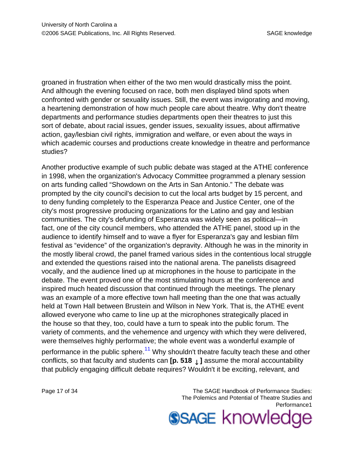groaned in frustration when either of the two men would drastically miss the point. And although the evening focused on race, both men displayed blind spots when confronted with gender or sexuality issues. Still, the event was invigorating and moving, a heartening demonstration of how much people care about theatre. Why don't theatre departments and performance studies departments open their theatres to just this sort of debate, about racial issues, gender issues, sexuality issues, about affirmative action, gay/lesbian civil rights, immigration and welfare, or even about the ways in which academic courses and productions create knowledge in theatre and performance studies?

Another productive example of such public debate was staged at the ATHE conference in 1998, when the organization's Advocacy Committee programmed a plenary session on arts funding called "Showdown on the Arts in San Antonio." The debate was prompted by the city council's decision to cut the local arts budget by 15 percent, and to deny funding completely to the Esperanza Peace and Justice Center, one of the city's most progressive producing organizations for the Latino and gay and lesbian communities. The city's defunding of Esperanza was widely seen as political—in fact, one of the city council members, who attended the ATHE panel, stood up in the audience to identify himself and to wave a flyer for Esperanza's gay and lesbian film festival as "evidence" of the organization's depravity. Although he was in the minority in the mostly liberal crowd, the panel framed various sides in the contentious local struggle and extended the questions raised into the national arena. The panelists disagreed vocally, and the audience lined up at microphones in the house to participate in the debate. The event proved one of the most stimulating hours at the conference and inspired much heated discussion that continued through the meetings. The plenary was an example of a more effective town hall meeting than the one that was actually held at Town Hall between Brustein and Wilson in New York. That is, the ATHE event allowed everyone who came to line up at the microphones strategically placed in the house so that they, too, could have a turn to speak into the public forum. The variety of comments, and the vehemence and urgency with which they were delivered, were themselves highly performative; the whole event was a wonderful example of

performance in the public sphere.<sup>[11](http://knowledge.sagepub.com/view/hdbk_performance/fn11n28.xml)</sup> Why shouldn't theatre faculty teach these and other conflicts, so that faculty and students can **[p. 518** ↓ **]** assume the moral accountability that publicly engaging difficult debate requires? Wouldn't it be exciting, relevant, and

Page 17 of 34 The SAGE Handbook of Performance Studies: The Polemics and Potential of Theatre Studies and Performance1

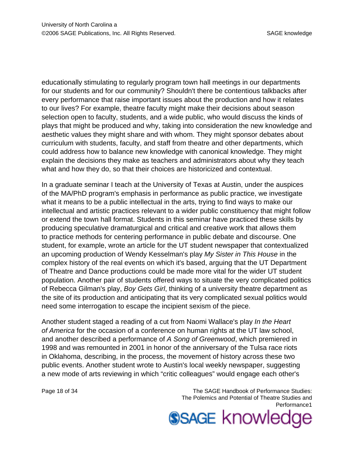educationally stimulating to regularly program town hall meetings in our departments for our students and for our community? Shouldn't there be contentious talkbacks after every performance that raise important issues about the production and how it relates to our lives? For example, theatre faculty might make their decisions about season selection open to faculty, students, and a wide public, who would discuss the kinds of plays that might be produced and why, taking into consideration the new knowledge and aesthetic values they might share and with whom. They might sponsor debates about curriculum with students, faculty, and staff from theatre and other departments, which could address how to balance new knowledge with canonical knowledge. They might explain the decisions they make as teachers and administrators about why they teach what and how they do, so that their choices are historicized and contextual.

In a graduate seminar I teach at the University of Texas at Austin, under the auspices of the MA/PhD program's emphasis in performance as public practice, we investigate what it means to be a public intellectual in the arts, trying to find ways to make our intellectual and artistic practices relevant to a wider public constituency that might follow or extend the town hall format. Students in this seminar have practiced these skills by producing speculative dramaturgical and critical and creative work that allows them to practice methods for centering performance in public debate and discourse. One student, for example, wrote an article for the UT student newspaper that contextualized an upcoming production of Wendy Kesselman's play My Sister in This House in the complex history of the real events on which it's based, arguing that the UT Department of Theatre and Dance productions could be made more vital for the wider UT student population. Another pair of students offered ways to situate the very complicated politics of Rebecca Gilman's play, Boy Gets Girl, thinking of a university theatre department as the site of its production and anticipating that its very complicated sexual politics would need some interrogation to escape the incipient sexism of the piece.

Another student staged a reading of a cut from Naomi Wallace's play In the Heart of America for the occasion of a conference on human rights at the UT law school, and another described a performance of A Song of Greenwood, which premiered in 1998 and was remounted in 2001 in honor of the anniversary of the Tulsa race riots in Oklahoma, describing, in the process, the movement of history across these two public events. Another student wrote to Austin's local weekly newspaper, suggesting a new mode of arts reviewing in which "critic colleagues" would engage each other's

Page 18 of 34 The SAGE Handbook of Performance Studies: The Polemics and Potential of Theatre Studies and Performance1

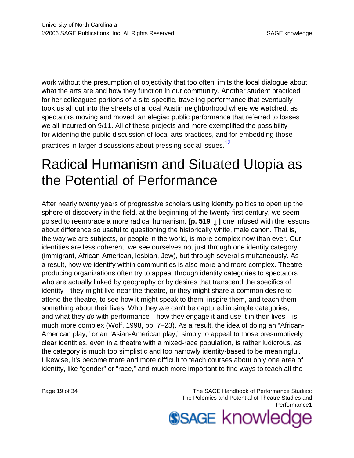work without the presumption of objectivity that too often limits the local dialogue about what the arts are and how they function in our community. Another student practiced for her colleagues portions of a site-specific, traveling performance that eventually took us all out into the streets of a local Austin neighborhood where we watched, as spectators moving and moved, an elegiac public performance that referred to losses we all incurred on 9/11. All of these projects and more exemplified the possibility for widening the public discussion of local arts practices, and for embedding those practices in larger discussions about pressing social issues.<sup>[12](http://knowledge.sagepub.com/view/hdbk_performance/fn12n28.xml)</sup>

#### Radical Humanism and Situated Utopia as the Potential of Performance

After nearly twenty years of progressive scholars using identity politics to open up the sphere of discovery in the field, at the beginning of the twenty-first century, we seem poised to reembrace a more radical humanism, **[p. 519** ↓ **]** one infused with the lessons about difference so useful to questioning the historically white, male canon. That is, the way we are subjects, or people in the world, is more complex now than ever. Our identities are less coherent; we see ourselves not just through one identity category (immigrant, African-American, lesbian, Jew), but through several simultaneously. As a result, how we identify within communities is also more and more complex. Theatre producing organizations often try to appeal through identity categories to spectators who are actually linked by geography or by desires that transcend the specifics of identity—they might live near the theatre, or they might share a common desire to attend the theatre, to see how it might speak to them, inspire them, and teach them something about their lives. Who they are can't be captured in simple categories, and what they do with performance—how they engage it and use it in their lives—is much more complex (Wolf, 1998, pp. 7–23). As a result, the idea of doing an "African-American play," or an "Asian-American play," simply to appeal to those presumptively clear identities, even in a theatre with a mixed-race population, is rather ludicrous, as the category is much too simplistic and too narrowly identity-based to be meaningful. Likewise, it's become more and more difficult to teach courses about only one area of identity, like "gender" or "race," and much more important to find ways to teach all the

Page 19 of 34 The SAGE Handbook of Performance Studies: The Polemics and Potential of Theatre Studies and Performance1

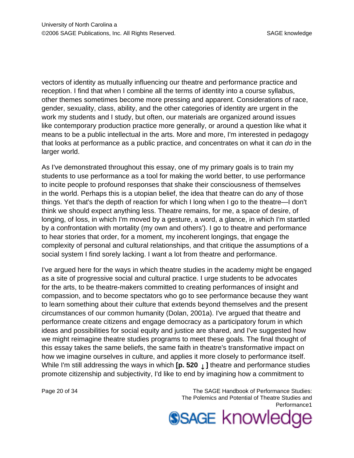vectors of identity as mutually influencing our theatre and performance practice and reception. I find that when I combine all the terms of identity into a course syllabus, other themes sometimes become more pressing and apparent. Considerations of race, gender, sexuality, class, ability, and the other categories of identity are urgent in the work my students and I study, but often, our materials are organized around issues like contemporary production practice more generally, or around a question like what it means to be a public intellectual in the arts. More and more, I'm interested in pedagogy that looks at performance as a public practice, and concentrates on what it can do in the larger world.

As I've demonstrated throughout this essay, one of my primary goals is to train my students to use performance as a tool for making the world better, to use performance to incite people to profound responses that shake their consciousness of themselves in the world. Perhaps this is a utopian belief, the idea that theatre can do any of those things. Yet that's the depth of reaction for which I long when I go to the theatre—I don't think we should expect anything less. Theatre remains, for me, a space of desire, of longing, of loss, in which I'm moved by a gesture, a word, a glance, in which I'm startled by a confrontation with mortality (my own and others'). I go to theatre and performance to hear stories that order, for a moment, my incoherent longings, that engage the complexity of personal and cultural relationships, and that critique the assumptions of a social system I find sorely lacking. I want a lot from theatre and performance.

I've argued here for the ways in which theatre studies in the academy might be engaged as a site of progressive social and cultural practice. I urge students to be advocates for the arts, to be theatre-makers committed to creating performances of insight and compassion, and to become spectators who go to see performance because they want to learn something about their culture that extends beyond themselves and the present circumstances of our common humanity (Dolan, 2001a). I've argued that theatre and performance create citizens and engage democracy as a participatory forum in which ideas and possibilities for social equity and justice are shared, and I've suggested how we might reimagine theatre studies programs to meet these goals. The final thought of this essay takes the same beliefs, the same faith in theatre's transformative impact on how we imagine ourselves in culture, and applies it more closely to performance itself. While I'm still addressing the ways in which **[p. 520**  $\downarrow$  **]** theatre and performance studies promote citizenship and subjectivity, I'd like to end by imagining how a commitment to

Page 20 of 34 The SAGE Handbook of Performance Studies: The Polemics and Potential of Theatre Studies and Performance1

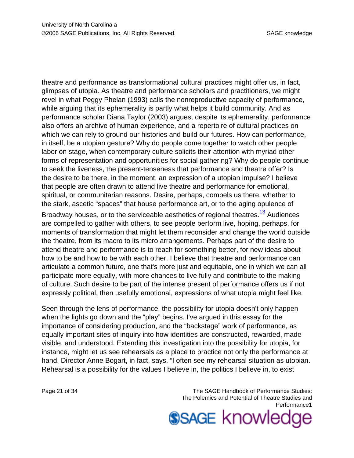theatre and performance as transformational cultural practices might offer us, in fact, glimpses of utopia. As theatre and performance scholars and practitioners, we might revel in what Peggy Phelan (1993) calls the nonreproductive capacity of performance, while arguing that its ephemerality is partly what helps it build community. And as performance scholar Diana Taylor (2003) argues, despite its ephemerality, performance also offers an archive of human experience, and a repertoire of cultural practices on which we can rely to ground our histories and build our futures. How can performance, in itself, be a utopian gesture? Why do people come together to watch other people labor on stage, when contemporary culture solicits their attention with myriad other forms of representation and opportunities for social gathering? Why do people continue to seek the liveness, the present-tenseness that performance and theatre offer? Is the desire to be there, in the moment, an expression of a utopian impulse? I believe that people are often drawn to attend live theatre and performance for emotional, spiritual, or communitarian reasons. Desire, perhaps, compels us there, whether to the stark, ascetic "spaces" that house performance art, or to the aging opulence of

Broadway houses, or to the serviceable aesthetics of regional theatres.<sup>[13](http://knowledge.sagepub.com/view/hdbk_performance/fn13n28.xml)</sup> Audiences are compelled to gather with others, to see people perform live, hoping, perhaps, for moments of transformation that might let them reconsider and change the world outside the theatre, from its macro to its micro arrangements. Perhaps part of the desire to attend theatre and performance is to reach for something better, for new ideas about how to be and how to be with each other. I believe that theatre and performance can articulate a common future, one that's more just and equitable, one in which we can all participate more equally, with more chances to live fully and contribute to the making of culture. Such desire to be part of the intense present of performance offers us if not expressly political, then usefully emotional, expressions of what utopia might feel like.

Seen through the lens of performance, the possibility for utopia doesn't only happen when the lights go down and the "play" begins. I've argued in this essay for the importance of considering production, and the "backstage" work of performance, as equally important sites of inquiry into how identities are constructed, rewarded, made visible, and understood. Extending this investigation into the possibility for utopia, for instance, might let us see rehearsals as a place to practice not only the performance at hand. Director Anne Bogart, in fact, says, "I often see my rehearsal situation as utopian. Rehearsal is a possibility for the values I believe in, the politics I believe in, to exist

Page 21 of 34 The SAGE Handbook of Performance Studies: The Polemics and Potential of Theatre Studies and Performance1

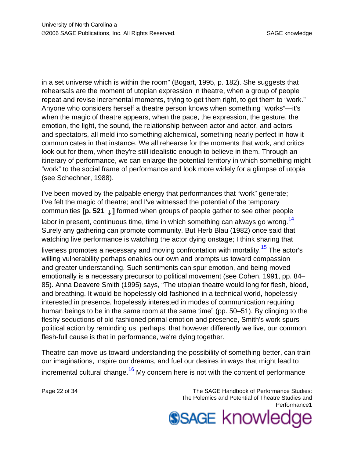in a set universe which is within the room" (Bogart, 1995, p. 182). She suggests that rehearsals are the moment of utopian expression in theatre, when a group of people repeat and revise incremental moments, trying to get them right, to get them to "work." Anyone who considers herself a theatre person knows when something "works"—it's when the magic of theatre appears, when the pace, the expression, the gesture, the emotion, the light, the sound, the relationship between actor and actor, and actors and spectators, all meld into something alchemical, something nearly perfect in how it communicates in that instance. We all rehearse for the moments that work, and critics look out for them, when they're still idealistic enough to believe in them. Through an itinerary of performance, we can enlarge the potential territory in which something might "work" to the social frame of performance and look more widely for a glimpse of utopia (see Schechner, 1988).

I've been moved by the palpable energy that performances that "work" generate; I've felt the magic of theatre; and I've witnessed the potential of the temporary communities **[p. 521** ↓ **]** formed when groups of people gather to see other people labor in present, continuous time, time in which something can always go wrong.<sup>[14](http://knowledge.sagepub.com/view/hdbk_performance/fn14n28.xml)</sup> Surely any gathering can promote community. But Herb Blau (1982) once said that watching live performance is watching the actor dying onstage; I think sharing that liveness promotes a necessary and moving confrontation with mortality.<sup>[15](http://knowledge.sagepub.com/view/hdbk_performance/fn15n28.xml)</sup> The actor's willing vulnerability perhaps enables our own and prompts us toward compassion and greater understanding. Such sentiments can spur emotion, and being moved emotionally is a necessary precursor to political movement (see Cohen, 1991, pp. 84– 85). Anna Deavere Smith (1995) says, "The utopian theatre would long for flesh, blood, and breathing. It would be hopelessly old-fashioned in a technical world, hopelessly interested in presence, hopelessly interested in modes of communication requiring human beings to be in the same room at the same time" (pp. 50–51). By clinging to the fleshy seductions of old-fashioned primal emotion and presence, Smith's work spurs political action by reminding us, perhaps, that however differently we live, our common, flesh-full cause is that in performance, we're dying together.

Theatre can move us toward understanding the possibility of something better, can train our imaginations, inspire our dreams, and fuel our desires in ways that might lead to incremental cultural change.<sup>[16](http://knowledge.sagepub.com/view/hdbk_performance/fn16n28.xml)</sup> My concern here is not with the content of performance

Page 22 of 34 The SAGE Handbook of Performance Studies: The Polemics and Potential of Theatre Studies and Performance1

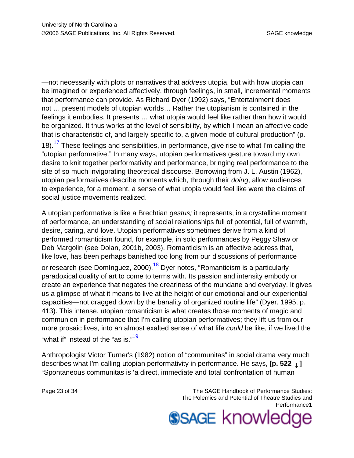—not necessarily with plots or narratives that address utopia, but with how utopia can be imagined or experienced affectively, through feelings, in small, incremental moments that performance can provide. As Richard Dyer (1992) says, "Entertainment does not … present models of utopian worlds… Rather the utopianism is contained in the feelings it embodies. It presents … what utopia would feel like rather than how it would be organized. It thus works at the level of sensibility, by which I mean an affective code that is characteristic of, and largely specific to, a given mode of cultural production" (p.

18).<sup>[17](http://knowledge.sagepub.com/view/hdbk_performance/fn17n28.xml)</sup> These feelings and sensibilities, in performance, give rise to what I'm calling the "utopian performative." In many ways, utopian performatives gesture toward my own desire to knit together performativity and performance, bringing real performance to the site of so much invigorating theoretical discourse. Borrowing from J. L. Austin (1962), utopian performatives describe moments which, through their doing, allow audiences to experience, for a moment, a sense of what utopia would feel like were the claims of social justice movements realized.

A utopian performative is like a Brechtian gestus; it represents, in a crystalline moment of performance, an understanding of social relationships full of potential, full of warmth, desire, caring, and love. Utopian performatives sometimes derive from a kind of performed romanticism found, for example, in solo performances by Peggy Shaw or Deb Margolin (see Dolan, 2001b, 2003). Romanticism is an affective address that, like love, has been perhaps banished too long from our discussions of performance

or research (see Domínguez, 2000).<sup>[18](http://knowledge.sagepub.com/view/hdbk_performance/fn18n28.xml)</sup> Dyer notes, "Romanticism is a particularly paradoxical quality of art to come to terms with. Its passion and intensity embody or create an experience that negates the dreariness of the mundane and everyday. It gives us a glimpse of what it means to live at the height of our emotional and our experiential capacities—not dragged down by the banality of organized routine life" (Dyer, 1995, p. 413). This intense, utopian romanticism is what creates those moments of magic and communion in performance that I'm calling utopian performatives; they lift us from our more prosaic lives, into an almost exalted sense of what life could be like, if we lived the "what if" instead of the "as is."<sup>[19](http://knowledge.sagepub.com/view/hdbk_performance/fn19n28.xml)</sup>

Anthropologist Victor Turner's (1982) notion of "communitas" in social drama very much describes what I'm calling utopian performativity in performance. He says, **[p. 522** ↓ **]** "Spontaneous communitas is 'a direct, immediate and total confrontation of human

Page 23 of 34 The SAGE Handbook of Performance Studies: The Polemics and Potential of Theatre Studies and Performance1

**SSAGE knowled**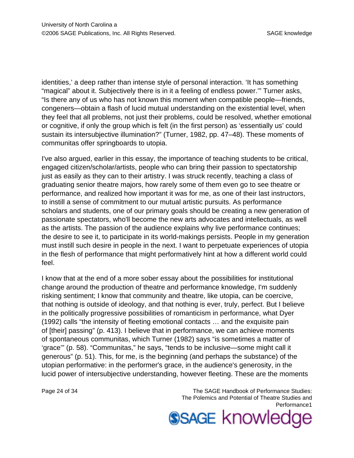identities,' a deep rather than intense style of personal interaction. 'It has something "magical" about it. Subjectively there is in it a feeling of endless power.'" Turner asks, "Is there any of us who has not known this moment when compatible people—friends, congeners—obtain a flash of lucid mutual understanding on the existential level, when they feel that all problems, not just their problems, could be resolved, whether emotional or cognitive, if only the group which is felt (in the first person) as 'essentially us' could sustain its intersubjective illumination?" (Turner, 1982, pp. 47–48). These moments of communitas offer springboards to utopia.

I've also argued, earlier in this essay, the importance of teaching students to be critical, engaged citizen/scholar/artists, people who can bring their passion to spectatorship just as easily as they can to their artistry. I was struck recently, teaching a class of graduating senior theatre majors, how rarely some of them even go to see theatre or performance, and realized how important it was for me, as one of their last instructors, to instill a sense of commitment to our mutual artistic pursuits. As performance scholars and students, one of our primary goals should be creating a new generation of passionate spectators, who'll become the new arts advocates and intellectuals, as well as the artists. The passion of the audience explains why live performance continues; the desire to see it, to participate in its world-makings persists. People in my generation must instill such desire in people in the next. I want to perpetuate experiences of utopia in the flesh of performance that might performatively hint at how a different world could feel.

I know that at the end of a more sober essay about the possibilities for institutional change around the production of theatre and performance knowledge, I'm suddenly risking sentiment; I know that community and theatre, like utopia, can be coercive, that nothing is outside of ideology, and that nothing is ever, truly, perfect. But I believe in the politically progressive possibilities of romanticism in performance, what Dyer (1992) calls "the intensity of fleeting emotional contacts … and the exquisite pain of [their] passing" (p. 413). I believe that in performance, we can achieve moments of spontaneous communitas, which Turner (1982) says "is sometimes a matter of 'grace'" (p. 58). "Communitas," he says, "tends to be inclusive—some might call it generous" (p. 51). This, for me, is the beginning (and perhaps the substance) of the utopian performative: in the performer's grace, in the audience's generosity, in the lucid power of intersubjective understanding, however fleeting. These are the moments

Page 24 of 34 The SAGE Handbook of Performance Studies: The Polemics and Potential of Theatre Studies and Performance1

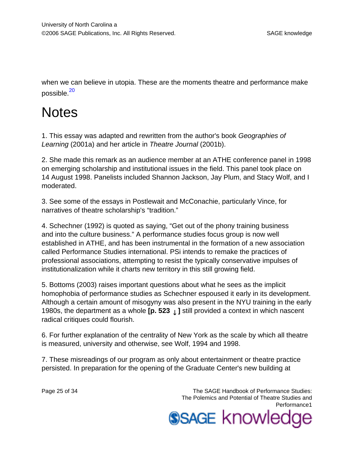when we can believe in utopia. These are the moments theatre and performance make possible.<sup>[20](http://knowledge.sagepub.com/view/hdbk_performance/fn20n28.xml)</sup>

## **Notes**

1. This essay was adapted and rewritten from the author's book Geographies of Learning (2001a) and her article in Theatre Journal (2001b).

2. She made this remark as an audience member at an ATHE conference panel in 1998 on emerging scholarship and institutional issues in the field. This panel took place on 14 August 1998. Panelists included Shannon Jackson, Jay Plum, and Stacy Wolf, and I moderated.

3. See some of the essays in Postlewait and McConachie, particularly Vince, for narratives of theatre scholarship's "tradition."

4. Schechner (1992) is quoted as saying, "Get out of the phony training business and into the culture business." A performance studies focus group is now well established in ATHE, and has been instrumental in the formation of a new association called Performance Studies international. PSi intends to remake the practices of professional associations, attempting to resist the typically conservative impulses of institutionalization while it charts new territory in this still growing field.

5. Bottoms (2003) raises important questions about what he sees as the implicit homophobia of performance studies as Schechner espoused it early in its development. Although a certain amount of misogyny was also present in the NYU training in the early 1980s, the department as a whole **[p. 523** ↓ **]** still provided a context in which nascent radical critiques could flourish.

6. For further explanation of the centrality of New York as the scale by which all theatre is measured, university and otherwise, see Wolf, 1994 and 1998.

7. These misreadings of our program as only about entertainment or theatre practice persisted. In preparation for the opening of the Graduate Center's new building at

Page 25 of 34 The SAGE Handbook of Performance Studies: The Polemics and Potential of Theatre Studies and Performance1

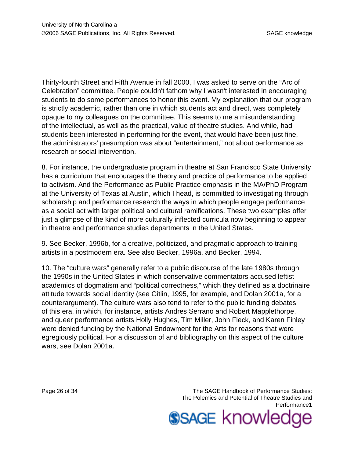Thirty-fourth Street and Fifth Avenue in fall 2000, I was asked to serve on the "Arc of Celebration" committee. People couldn't fathom why I wasn't interested in encouraging students to do some performances to honor this event. My explanation that our program is strictly academic, rather than one in which students act and direct, was completely opaque to my colleagues on the committee. This seems to me a misunderstanding of the intellectual, as well as the practical, value of theatre studies. And while, had students been interested in performing for the event, that would have been just fine, the administrators' presumption was about "entertainment," not about performance as research or social intervention.

8. For instance, the undergraduate program in theatre at San Francisco State University has a curriculum that encourages the theory and practice of performance to be applied to activism. And the Performance as Public Practice emphasis in the MA/PhD Program at the University of Texas at Austin, which I head, is committed to investigating through scholarship and performance research the ways in which people engage performance as a social act with larger political and cultural ramifications. These two examples offer just a glimpse of the kind of more culturally inflected curricula now beginning to appear in theatre and performance studies departments in the United States.

9. See Becker, 1996b, for a creative, politicized, and pragmatic approach to training artists in a postmodern era. See also Becker, 1996a, and Becker, 1994.

10. The "culture wars" generally refer to a public discourse of the late 1980s through the 1990s in the United States in which conservative commentators accused leftist academics of dogmatism and "political correctness," which they defined as a doctrinaire attitude towards social identity (see Gitlin, 1995, for example, and Dolan 2001a, for a counterargument). The culture wars also tend to refer to the public funding debates of this era, in which, for instance, artists Andres Serrano and Robert Mapplethorpe, and queer performance artists Holly Hughes, Tim Miller, John Fleck, and Karen Finley were denied funding by the National Endowment for the Arts for reasons that were egregiously political. For a discussion of and bibliography on this aspect of the culture wars, see Dolan 2001a.

Page 26 of 34 The SAGE Handbook of Performance Studies: The Polemics and Potential of Theatre Studies and Performance1

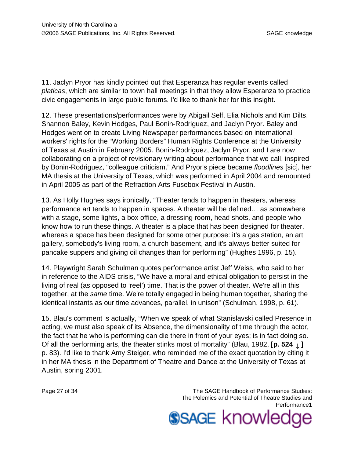11. Jaclyn Pryor has kindly pointed out that Esperanza has regular events called platicas, which are similar to town hall meetings in that they allow Esperanza to practice civic engagements in large public forums. I'd like to thank her for this insight.

12. These presentations/performances were by Abigail Self, Elia Nichols and Kim Dilts, Shannon Baley, Kevin Hodges, Paul Bonin-Rodriguez, and Jaclyn Pryor. Baley and Hodges went on to create Living Newspaper performances based on international workers' rights for the "Working Borders" Human Rights Conference at the University of Texas at Austin in February 2005. Bonin-Rodriguez, Jaclyn Pryor, and I are now collaborating on a project of revisionary writing about performance that we call, inspired by Bonin-Rodriguez, "colleague criticism." And Pryor's piece became floodlines [sic], her MA thesis at the University of Texas, which was performed in April 2004 and remounted in April 2005 as part of the Refraction Arts Fusebox Festival in Austin.

13. As Holly Hughes says ironically, "Theater tends to happen in theaters, whereas performance art tends to happen in spaces. A theater will be defined… as somewhere with a stage, some lights, a box office, a dressing room, head shots, and people who know how to run these things. A theater is a place that has been designed for theater, whereas a space has been designed for some other purpose: it's a gas station, an art gallery, somebody's living room, a church basement, and it's always better suited for pancake suppers and giving oil changes than for performing" (Hughes 1996, p. 15).

14. Playwright Sarah Schulman quotes performance artist Jeff Weiss, who said to her in reference to the AIDS crisis, "We have a moral and ethical obligation to persist in the living of real (as opposed to 'reel') time. That is the power of theater. We're all in this together, at the same time. We're totally engaged in being human together, sharing the identical instants as our time advances, parallel, in unison" (Schulman, 1998, p. 61).

15. Blau's comment is actually, "When we speak of what Stanislavski called Presence in acting, we must also speak of its Absence, the dimensionality of time through the actor, the fact that he who is performing can die there in front of your eyes; is in fact doing so. Of all the performing arts, the theater stinks most of mortality" (Blau, 1982, **[p. 524** ↓ **]** p. 83). I'd like to thank Amy Steiger, who reminded me of the exact quotation by citing it in her MA thesis in the Department of Theatre and Dance at the University of Texas at Austin, spring 2001.

Page 27 of 34 The SAGE Handbook of Performance Studies: The Polemics and Potential of Theatre Studies and Performance1

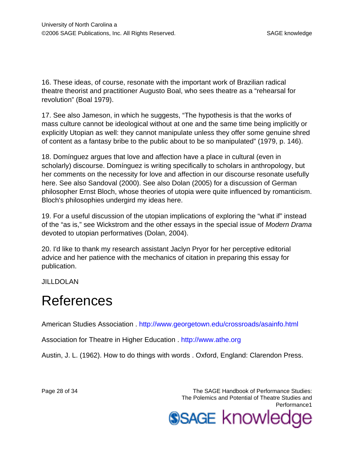16. These ideas, of course, resonate with the important work of Brazilian radical theatre theorist and practitioner Augusto Boal, who sees theatre as a "rehearsal for revolution" (Boal 1979).

17. See also Jameson, in which he suggests, "The hypothesis is that the works of mass culture cannot be ideological without at one and the same time being implicitly or explicitly Utopian as well: they cannot manipulate unless they offer some genuine shred of content as a fantasy bribe to the public about to be so manipulated" (1979, p. 146).

18. Domínguez argues that love and affection have a place in cultural (even in scholarly) discourse. Domínguez is writing specifically to scholars in anthropology, but her comments on the necessity for love and affection in our discourse resonate usefully here. See also Sandoval (2000). See also Dolan (2005) for a discussion of German philosopher Ernst Bloch, whose theories of utopia were quite influenced by romanticism. Bloch's philosophies undergird my ideas here.

19. For a useful discussion of the utopian implications of exploring the "what if" instead of the "as is," see Wickstrom and the other essays in the special issue of Modern Drama devoted to utopian performatives (Dolan, 2004).

20. I'd like to thank my research assistant Jaclyn Pryor for her perceptive editorial advice and her patience with the mechanics of citation in preparing this essay for publication.

JILLDOLAN

#### References

American Studies Association . <http://www.georgetown.edu/crossroads/asainfo.html>

Association for Theatre in Higher Education .<http://www.athe.org>

Austin, J. L. (1962). How to do things with words . Oxford, England: Clarendon Press.

Page 28 of 34 The SAGE Handbook of Performance Studies: The Polemics and Potential of Theatre Studies and Performance1

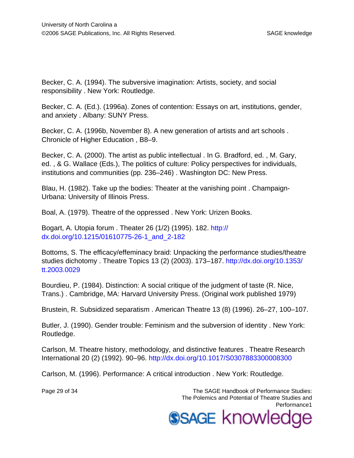Becker, C. A. (1994). The subversive imagination: Artists, society, and social responsibility . New York: Routledge.

Becker, C. A. (Ed.). (1996a). Zones of contention: Essays on art, institutions, gender, and anxiety . Albany: SUNY Press.

Becker, C. A. (1996b, November 8). A new generation of artists and art schools . Chronicle of Higher Education , B8–9.

Becker, C. A. (2000). The artist as public intellectual . In G. Bradford, ed. , M. Gary, ed. , & G. Wallace (Eds.), The politics of culture: Policy perspectives for individuals, institutions and communities (pp. 236–246) . Washington DC: New Press.

Blau, H. (1982). Take up the bodies: Theater at the vanishing point . Champaign-Urbana: University of Illinois Press.

Boal, A. (1979). Theatre of the oppressed . New York: Urizen Books.

Bogart, A. Utopia forum . Theater 26 (1/2) (1995). 182. [http://](http://dx.doi.org/10.1215/01610775-26-1_and_2-182) [dx.doi.org/10.1215/01610775-26-1\\_and\\_2-182](http://dx.doi.org/10.1215/01610775-26-1_and_2-182)

Bottoms, S. The efficacy/effeminacy braid: Unpacking the performance studies/theatre studies dichotomy . Theatre Topics 13 (2) (2003). 173–187. [http://dx.doi.org/10.1353/](http://dx.doi.org/10.1353/tt.2003.0029) [tt.2003.0029](http://dx.doi.org/10.1353/tt.2003.0029)

Bourdieu, P. (1984). Distinction: A social critique of the judgment of taste (R. Nice, Trans.) . Cambridge, MA: Harvard University Press. (Original work published 1979)

Brustein, R. Subsidized separatism . American Theatre 13 (8) (1996). 26–27, 100–107.

Butler, J. (1990). Gender trouble: Feminism and the subversion of identity . New York: Routledge.

Carlson, M. Theatre history, methodology, and distinctive features . Theatre Research International 20 (2) (1992). 90–96.<http://dx.doi.org/10.1017/S0307883300008300>

Carlson, M. (1996). Performance: A critical introduction . New York: Routledge.

Page 29 of 34 The SAGE Handbook of Performance Studies: The Polemics and Potential of Theatre Studies and Performance1

**SSAGE knowle**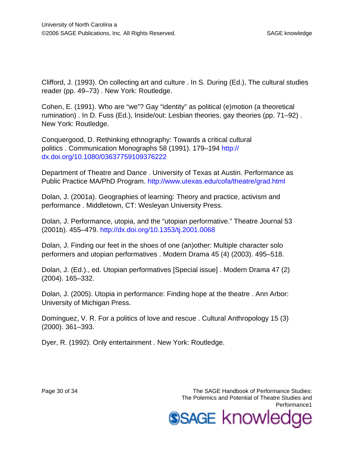Clifford, J. (1993). On collecting art and culture . In S. During (Ed.), The cultural studies reader (pp. 49–73) . New York: Routledge.

Cohen, E. (1991). Who are "we"? Gay "identity" as political (e)motion (a theoretical rumination) . In D. Fuss (Ed.), Inside/out: Lesbian theories, gay theories (pp. 71–92) . New York: Routledge.

Conquergood, D. Rethinking ethnography: Towards a critical cultural politics . Communication Monographs 58 (1991). 179–194 [http://](http://dx.doi.org/10.1080/03637759109376222) [dx.doi.org/10.1080/03637759109376222](http://dx.doi.org/10.1080/03637759109376222)

Department of Theatre and Dance . University of Texas at Austin. Performance as Public Practice MA/PhD Program.<http://www.utexas.edu/cofa/theatre/grad.html>

Dolan, J. (2001a). Geographies of learning: Theory and practice, activism and performance . Middletown, CT: Wesleyan University Press.

Dolan, J. Performance, utopia, and the "utopian performative." Theatre Journal 53 (2001b). 455–479.<http://dx.doi.org/10.1353/tj.2001.0068>

Dolan, J. Finding our feet in the shoes of one (an)other: Multiple character solo performers and utopian performatives . Modern Drama 45 (4) (2003). 495–518.

Dolan, J. (Ed.)., ed. Utopian performatives [Special issue] . Modern Drama 47 (2) (2004). 165–332.

Dolan, J. (2005). Utopia in performance: Finding hope at the theatre . Ann Arbor: University of Michigan Press.

Domínguez, V. R. For a politics of love and rescue . Cultural Anthropology 15 (3) (2000). 361–393.

Dyer, R. (1992). Only entertainment . New York: Routledge.

Page 30 of 34 The SAGE Handbook of Performance Studies: The Polemics and Potential of Theatre Studies and Performance1

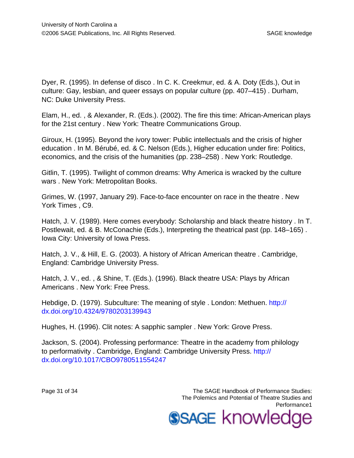Dyer, R. (1995). In defense of disco . In C. K. Creekmur, ed. & A. Doty (Eds.), Out in culture: Gay, lesbian, and queer essays on popular culture (pp. 407–415) . Durham, NC: Duke University Press.

Elam, H., ed. , & Alexander, R. (Eds.). (2002). The fire this time: African-American plays for the 21st century . New York: Theatre Communications Group.

Giroux, H. (1995). Beyond the ivory tower: Public intellectuals and the crisis of higher education . In M. Bérubé, ed. & C. Nelson (Eds.), Higher education under fire: Politics, economics, and the crisis of the humanities (pp. 238–258) . New York: Routledge.

Gitlin, T. (1995). Twilight of common dreams: Why America is wracked by the culture wars . New York: Metropolitan Books.

Grimes, W. (1997, January 29). Face-to-face encounter on race in the theatre . New York Times , C9.

Hatch, J. V. (1989). Here comes everybody: Scholarship and black theatre history . In T. Postlewait, ed. & B. McConachie (Eds.), Interpreting the theatrical past (pp. 148–165) . Iowa City: University of Iowa Press.

Hatch, J. V., & Hill, E. G. (2003). A history of African American theatre . Cambridge, England: Cambridge University Press.

Hatch, J. V., ed. , & Shine, T. (Eds.). (1996). Black theatre USA: Plays by African Americans . New York: Free Press.

Hebdige, D. (1979). Subculture: The meaning of style . London: Methuen. [http://](http://dx.doi.org/10.4324/9780203139943) [dx.doi.org/10.4324/9780203139943](http://dx.doi.org/10.4324/9780203139943)

Hughes, H. (1996). Clit notes: A sapphic sampler . New York: Grove Press.

Jackson, S. (2004). Professing performance: Theatre in the academy from philology to performativity . Cambridge, England: Cambridge University Press. [http://](http://dx.doi.org/10.1017/CBO9780511554247) [dx.doi.org/10.1017/CBO9780511554247](http://dx.doi.org/10.1017/CBO9780511554247)

Page 31 of 34 The SAGE Handbook of Performance Studies: The Polemics and Potential of Theatre Studies and Performance1

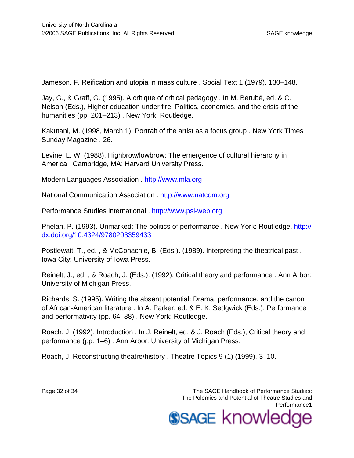Jameson, F. Reification and utopia in mass culture . Social Text 1 (1979). 130–148.

Jay, G., & Graff, G. (1995). A critique of critical pedagogy . In M. Bérubé, ed. & C. Nelson (Eds.), Higher education under fire: Politics, economics, and the crisis of the humanities (pp. 201–213) . New York: Routledge.

Kakutani, M. (1998, March 1). Portrait of the artist as a focus group . New York Times Sunday Magazine , 26.

Levine, L. W. (1988). Highbrow/lowbrow: The emergence of cultural hierarchy in America . Cambridge, MA: Harvard University Press.

Modern Languages Association .<http://www.mla.org>

National Communication Association .<http://www.natcom.org>

Performance Studies international . <http://www.psi-web.org>

Phelan, P. (1993). Unmarked: The politics of performance. New York: Routledge. [http://](http://dx.doi.org/10.4324/9780203359433) [dx.doi.org/10.4324/9780203359433](http://dx.doi.org/10.4324/9780203359433)

Postlewait, T., ed. , & McConachie, B. (Eds.). (1989). Interpreting the theatrical past . Iowa City: University of Iowa Press.

Reinelt, J., ed. , & Roach, J. (Eds.). (1992). Critical theory and performance . Ann Arbor: University of Michigan Press.

Richards, S. (1995). Writing the absent potential: Drama, performance, and the canon of African-American literature . In A. Parker, ed. & E. K. Sedgwick (Eds.), Performance and performativity (pp. 64–88) . New York: Routledge.

Roach, J. (1992). Introduction . In J. Reinelt, ed. & J. Roach (Eds.), Critical theory and performance (pp. 1–6) . Ann Arbor: University of Michigan Press.

Roach, J. Reconstructing theatre/history . Theatre Topics 9 (1) (1999). 3–10.

Page 32 of 34 The SAGE Handbook of Performance Studies: The Polemics and Potential of Theatre Studies and Performance1

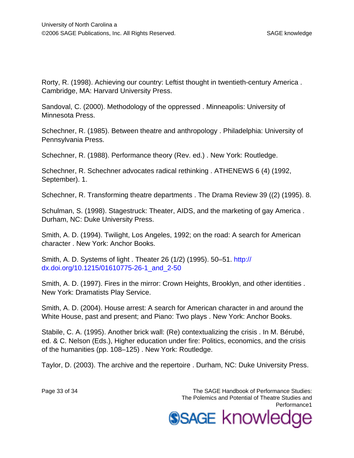Rorty, R. (1998). Achieving our country: Leftist thought in twentieth-century America . Cambridge, MA: Harvard University Press.

Sandoval, C. (2000). Methodology of the oppressed . Minneapolis: University of Minnesota Press.

Schechner, R. (1985). Between theatre and anthropology . Philadelphia: University of Pennsylvania Press.

Schechner, R. (1988). Performance theory (Rev. ed.) . New York: Routledge.

Schechner, R. Schechner advocates radical rethinking . ATHENEWS 6 (4) (1992, September). 1.

Schechner, R. Transforming theatre departments . The Drama Review 39 ((2) (1995). 8.

Schulman, S. (1998). Stagestruck: Theater, AIDS, and the marketing of gay America . Durham, NC: Duke University Press.

Smith, A. D. (1994). Twilight, Los Angeles, 1992; on the road: A search for American character . New York: Anchor Books.

Smith, A. D. Systems of light . Theater 26 (1/2) (1995). 50–51. [http://](http://dx.doi.org/10.1215/01610775-26-1_and_2-50) [dx.doi.org/10.1215/01610775-26-1\\_and\\_2-50](http://dx.doi.org/10.1215/01610775-26-1_and_2-50)

Smith, A. D. (1997). Fires in the mirror: Crown Heights, Brooklyn, and other identities . New York: Dramatists Play Service.

Smith, A. D. (2004). House arrest: A search for American character in and around the White House, past and present; and Piano: Two plays . New York: Anchor Books.

Stabile, C. A. (1995). Another brick wall: (Re) contextualizing the crisis . In M. Bérubé, ed. & C. Nelson (Eds.), Higher education under fire: Politics, economics, and the crisis of the humanities (pp. 108–125) . New York: Routledge.

Taylor, D. (2003). The archive and the repertoire . Durham, NC: Duke University Press.

Page 33 of 34 The SAGE Handbook of Performance Studies: The Polemics and Potential of Theatre Studies and Performance1